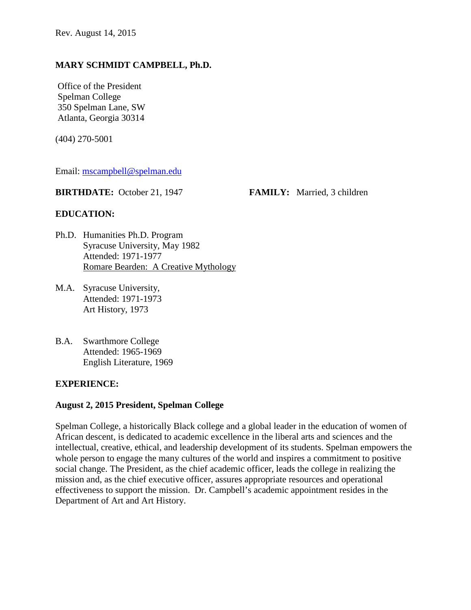#### **MARY SCHMIDT CAMPBELL, Ph.D.**

Office of the President Spelman College 350 Spelman Lane, SW Atlanta, Georgia 30314

(404) 270-5001

Email: [mscampbell@spelman.edu](mailto:mscampbell@spelman.edu) 

**BIRTHDATE:** October 21, 1947 **FAMILY:** Married, 3 children

#### **EDUCATION:**

- Ph.D. Humanities Ph.D. Program Syracuse University, May 1982 Attended: 1971-1977 Romare Bearden: A Creative Mythology
- M.A. Syracuse University, Attended: 1971-1973 Art History, 1973
- B.A. Swarthmore College Attended: 1965-1969 English Literature, 1969

#### **EXPERIENCE:**

#### **August 2, 2015 President, Spelman College**

Spelman College, a historically Black college and a global leader in the education of women of African descent, is dedicated to academic excellence in the liberal arts and sciences and the intellectual, creative, ethical, and leadership development of its students. Spelman empowers the whole person to engage the many cultures of the world and inspires a commitment to positive social change. The President, as the chief academic officer, leads the college in realizing the mission and, as the chief executive officer, assures appropriate resources and operational effectiveness to support the mission. Dr. Campbell's academic appointment resides in the Department of Art and Art History.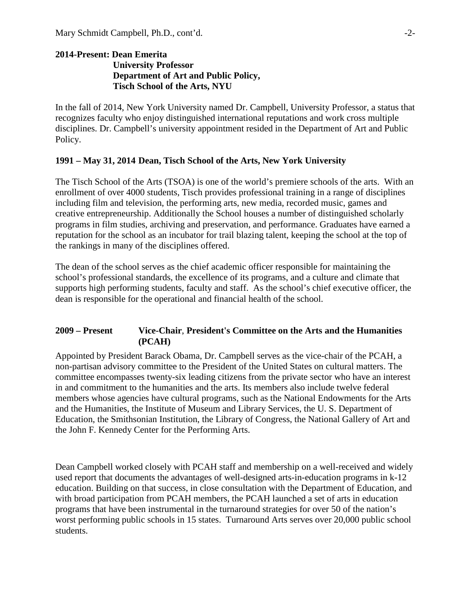#### **2014-Present: Dean Emerita University Professor Department of Art and Public Policy, Tisch School of the Arts, NYU**

In the fall of 2014, New York University named Dr. Campbell, University Professor, a status that recognizes faculty who enjoy distinguished international reputations and work cross multiple disciplines. Dr. Campbell's university appointment resided in the Department of Art and Public Policy.

#### **1991 – May 31, 2014 Dean, Tisch School of the Arts, New York University**

The Tisch School of the Arts (TSOA) is one of the world's premiere schools of the arts. With an enrollment of over 4000 students, Tisch provides professional training in a range of disciplines including film and television, the performing arts, new media, recorded music, games and creative entrepreneurship. Additionally the School houses a number of distinguished scholarly programs in film studies, archiving and preservation, and performance. Graduates have earned a reputation for the school as an incubator for trail blazing talent, keeping the school at the top of the rankings in many of the disciplines offered.

The dean of the school serves as the chief academic officer responsible for maintaining the school's professional standards, the excellence of its programs, and a culture and climate that supports high performing students, faculty and staff. As the school's chief executive officer, the dean is responsible for the operational and financial health of the school.

#### **2009 – Present Vice-Chair**, **President's Committee on the Arts and the Humanities (PCAH)**

Appointed by President Barack Obama, Dr. Campbell serves as the vice-chair of the PCAH, a non-partisan advisory committee to the President of the United States on cultural matters. The committee encompasses twenty-six leading citizens from the private sector who have an interest in and commitment to the humanities and the arts. Its members also include twelve federal members whose agencies have cultural programs, such as the National Endowments for the Arts and the Humanities, the Institute of Museum and Library Services, the U. S. Department of Education, the Smithsonian Institution, the Library of Congress, the National Gallery of Art and the John F. Kennedy Center for the Performing Arts.

Dean Campbell worked closely with PCAH staff and membership on a well-received and widely used report that documents the advantages of well-designed arts-in-education programs in k-12 education. Building on that success, in close consultation with the Department of Education, and with broad participation from PCAH members, the PCAH launched a set of arts in education programs that have been instrumental in the turnaround strategies for over 50 of the nation's worst performing public schools in 15 states. Turnaround Arts serves over 20,000 public school students.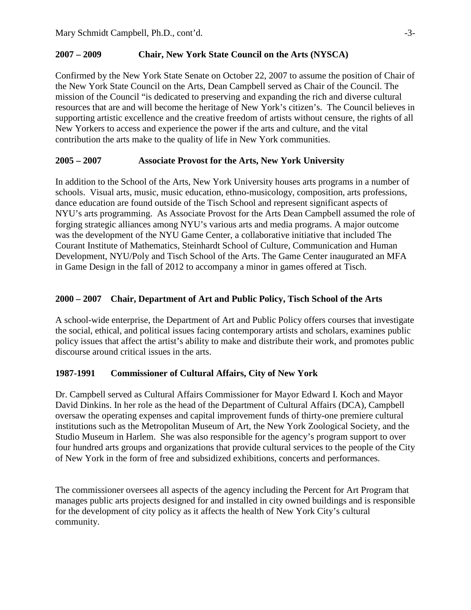## **2007 – 2009 Chair, New York State Council on the Arts (NYSCA)**

Confirmed by the New York State Senate on October 22, 2007 to assume the position of Chair of the New York State Council on the Arts, Dean Campbell served as Chair of the Council. The mission of the Council "is dedicated to preserving and expanding the rich and diverse cultural resources that are and will become the heritage of New York's citizen's. The Council believes in supporting artistic excellence and the creative freedom of artists without censure, the rights of all New Yorkers to access and experience the power if the arts and culture, and the vital contribution the arts make to the quality of life in New York communities.

## **2005 – 2007 Associate Provost for the Arts, New York University**

In addition to the School of the Arts, New York University houses arts programs in a number of schools. Visual arts, music, music education, ethno-musicology, composition, arts professions, dance education are found outside of the Tisch School and represent significant aspects of NYU's arts programming. As Associate Provost for the Arts Dean Campbell assumed the role of forging strategic alliances among NYU's various arts and media programs. A major outcome was the development of the NYU Game Center, a collaborative initiative that included The Courant Institute of Mathematics, Steinhardt School of Culture, Communication and Human Development, NYU/Poly and Tisch School of the Arts. The Game Center inaugurated an MFA in Game Design in the fall of 2012 to accompany a minor in games offered at Tisch.

## **2000 – 2007 Chair, Department of Art and Public Policy, Tisch School of the Arts**

A school-wide enterprise, the Department of Art and Public Policy offers courses that investigate the social, ethical, and political issues facing contemporary artists and scholars, examines public policy issues that affect the artist's ability to make and distribute their work, and promotes public discourse around critical issues in the arts.

## **1987-1991 Commissioner of Cultural Affairs, City of New York**

Dr. Campbell served as Cultural Affairs Commissioner for Mayor Edward I. Koch and Mayor David Dinkins. In her role as the head of the Department of Cultural Affairs (DCA), Campbell oversaw the operating expenses and capital improvement funds of thirty-one premiere cultural institutions such as the Metropolitan Museum of Art, the New York Zoological Society, and the Studio Museum in Harlem. She was also responsible for the agency's program support to over four hundred arts groups and organizations that provide cultural services to the people of the City of New York in the form of free and subsidized exhibitions, concerts and performances.

The commissioner oversees all aspects of the agency including the Percent for Art Program that manages public arts projects designed for and installed in city owned buildings and is responsible for the development of city policy as it affects the health of New York City's cultural community.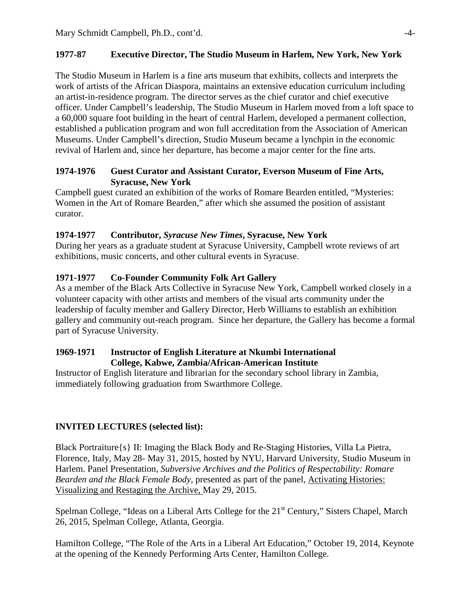# **1977-87 Executive Director, The Studio Museum in Harlem, New York, New York**

The Studio Museum in Harlem is a fine arts museum that exhibits, collects and interprets the work of artists of the African Diaspora, maintains an extensive education curriculum including an artist-in-residence program. The director serves as the chief curator and chief executive officer. Under Campbell's leadership, The Studio Museum in Harlem moved from a loft space to a 60,000 square foot building in the heart of central Harlem, developed a permanent collection, established a publication program and won full accreditation from the Association of American Museums. Under Campbell's direction, Studio Museum became a lynchpin in the economic revival of Harlem and, since her departure, has become a major center for the fine arts.

## **1974-1976 Guest Curator and Assistant Curator, Everson Museum of Fine Arts, Syracuse, New York**

Campbell guest curated an exhibition of the works of Romare Bearden entitled, "Mysteries: Women in the Art of Romare Bearden," after which she assumed the position of assistant curator.

## **1974-1977 Contributor,** *Syracuse New Times***, Syracuse, New York**

During her years as a graduate student at Syracuse University, Campbell wrote reviews of art exhibitions, music concerts, and other cultural events in Syracuse.

## **1971-1977 Co-Founder Community Folk Art Gallery**

As a member of the Black Arts Collective in Syracuse New York, Campbell worked closely in a volunteer capacity with other artists and members of the visual arts community under the leadership of faculty member and Gallery Director, Herb Williams to establish an exhibition gallery and community out-reach program. Since her departure, the Gallery has become a formal part of Syracuse University.

## **1969-1971 Instructor of English Literature at Nkumbi International College, Kabwe, Zambia/African-American Institute**

Instructor of English literature and librarian for the secondary school library in Zambia, immediately following graduation from Swarthmore College.

# **INVITED LECTURES (selected list):**

Black Portraiture{s} II: Imaging the Black Body and Re-Staging Histories, Villa La Pietra, Florence, Italy, May 28- May 31, 2015, hosted by NYU, Harvard University, Studio Museum in Harlem. Panel Presentation, *Subversive Archives and the Politics of Respectability: Romare Bearden and the Black Female Body,* presented as part of the panel, Activating Histories: Visualizing and Restaging the Archive, May 29, 2015.

Spelman College, "Ideas on a Liberal Arts College for the 21<sup>st</sup> Century," Sisters Chapel, March 26, 2015, Spelman College, Atlanta, Georgia.

Hamilton College, "The Role of the Arts in a Liberal Art Education," October 19, 2014, Keynote at the opening of the Kennedy Performing Arts Center, Hamilton College.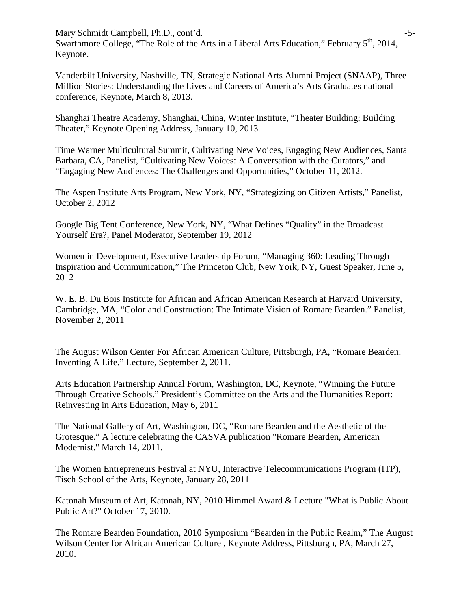Mary Schmidt Campbell, Ph.D., cont'd.  $-5$ -Swarthmore College, "The Role of the Arts in a Liberal Arts Education," February 5<sup>th</sup>, 2014, Keynote.

Vanderbilt University, Nashville, TN, Strategic National Arts Alumni Project (SNAAP), Three Million Stories: Understanding the Lives and Careers of America's Arts Graduates national conference, Keynote, March 8, 2013.

Shanghai Theatre Academy, Shanghai, China, Winter Institute, "Theater Building; Building Theater," Keynote Opening Address, January 10, 2013.

Time Warner Multicultural Summit, Cultivating New Voices, Engaging New Audiences, Santa Barbara, CA, Panelist, "Cultivating New Voices: A Conversation with the Curators," and "Engaging New Audiences: The Challenges and Opportunities," October 11, 2012.

The Aspen Institute Arts Program, New York, NY, "Strategizing on Citizen Artists," Panelist, October 2, 2012

Google Big Tent Conference, New York, NY, "What Defines "Quality" in the Broadcast Yourself Era?, Panel Moderator, September 19, 2012

Women in Development, Executive Leadership Forum, "Managing 360: Leading Through Inspiration and Communication," The Princeton Club, New York, NY, Guest Speaker, June 5, 2012

W. E. B. Du Bois Institute for African and African American Research at Harvard University, Cambridge, MA, "Color and Construction: The Intimate Vision of Romare Bearden." Panelist, November 2, 2011

The August Wilson Center For African American Culture, Pittsburgh, PA, "Romare Bearden: Inventing A Life." Lecture, September 2, 2011.

Arts Education Partnership Annual Forum, Washington, DC, Keynote, "Winning the Future Through Creative Schools." President's Committee on the Arts and the Humanities Report: Reinvesting in Arts Education, May 6, 2011

The National Gallery of Art, Washington, DC, "Romare Bearden and the Aesthetic of the Grotesque." A lecture celebrating the CASVA publication "Romare Bearden, American Modernist." March 14, 2011.

The Women Entrepreneurs Festival at NYU, Interactive Telecommunications Program (ITP), Tisch School of the Arts, Keynote, January 28, 2011

Katonah Museum of Art, Katonah, NY, 2010 Himmel Award & Lecture "What is Public About Public Art?" October 17, 2010.

The Romare Bearden Foundation, 2010 Symposium "Bearden in the Public Realm," The August Wilson Center for African American Culture , Keynote Address, Pittsburgh, PA, March 27, 2010.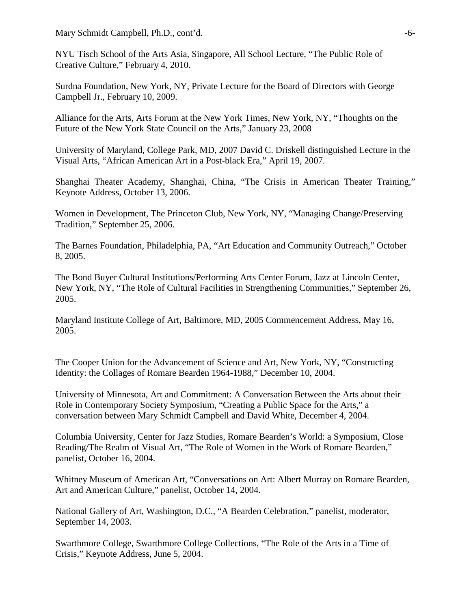Mary Schmidt Campbell, Ph.D., cont'd.  $\sim$ -6-

NYU Tisch School of the Arts Asia, Singapore, All School Lecture, "The Public Role of Creative Culture," February 4, 2010.

Surdna Foundation, New York, NY, Private Lecture for the Board of Directors with George Campbell Jr., February 10, 2009.

Alliance for the Arts, Arts Forum at the New York Times, New York, NY, "Thoughts on the Future of the New York State Council on the Arts," January 23, 2008

University of Maryland, College Park, MD, 2007 David C. Driskell distinguished Lecture in the Visual Arts, "African American Art in a Post-black Era," April 19, 2007.

Shanghai Theater Academy, Shanghai, China, "The Crisis in American Theater Training," Keynote Address, October 13, 2006.

Women in Development, The Princeton Club, New York, NY, "Managing Change/Preserving Tradition," September 25, 2006.

The Barnes Foundation, Philadelphia, PA, "Art Education and Community Outreach," October 8, 2005.

The Bond Buyer Cultural Institutions/Performing Arts Center Forum, Jazz at Lincoln Center, New York, NY, "The Role of Cultural Facilities in Strengthening Communities," September 26, 2005.

Maryland Institute College of Art, Baltimore, MD, 2005 Commencement Address, May 16, 2005.

The Cooper Union for the Advancement of Science and Art, New York, NY, "Constructing Identity: the Collages of Romare Bearden 1964-1988," December 10, 2004.

University of Minnesota, Art and Commitment: A Conversation Between the Arts about their Role in Contemporary Society Symposium, "Creating a Public Space for the Arts," a conversation between Mary Schmidt Campbell and David White, December 4, 2004.

Columbia University, Center for Jazz Studies, Romare Bearden's World: a Symposium, Close Reading/The Realm of Visual Art, "The Role of Women in the Work of Romare Bearden," panelist, October 16, 2004.

Whitney Museum of American Art, "Conversations on Art: Albert Murray on Romare Bearden, Art and American Culture," panelist, October 14, 2004.

National Gallery of Art, Washington, D.C., "A Bearden Celebration," panelist, moderator, September 14, 2003.

Swarthmore College, Swarthmore College Collections, "The Role of the Arts in a Time of Crisis," Keynote Address, June 5, 2004.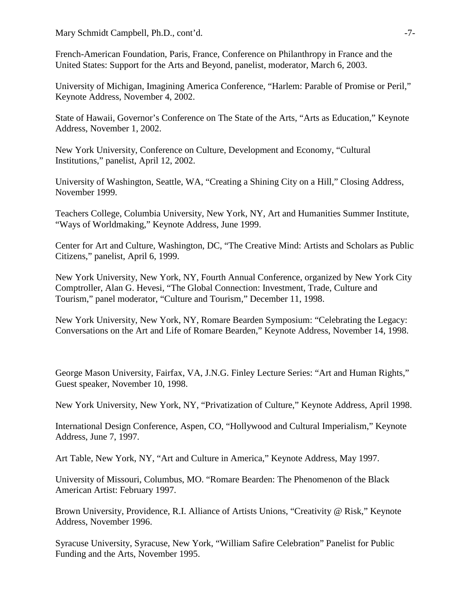French-American Foundation, Paris, France, Conference on Philanthropy in France and the United States: Support for the Arts and Beyond, panelist, moderator, March 6, 2003.

University of Michigan, Imagining America Conference, "Harlem: Parable of Promise or Peril," Keynote Address, November 4, 2002.

State of Hawaii, Governor's Conference on The State of the Arts, "Arts as Education," Keynote Address, November 1, 2002.

New York University, Conference on Culture, Development and Economy, "Cultural Institutions," panelist, April 12, 2002.

University of Washington, Seattle, WA, "Creating a Shining City on a Hill," Closing Address, November 1999.

Teachers College, Columbia University, New York, NY, Art and Humanities Summer Institute, "Ways of Worldmaking," Keynote Address, June 1999.

Center for Art and Culture, Washington, DC, "The Creative Mind: Artists and Scholars as Public Citizens," panelist, April 6, 1999.

New York University, New York, NY, Fourth Annual Conference, organized by New York City Comptroller, Alan G. Hevesi, "The Global Connection: Investment, Trade, Culture and Tourism," panel moderator, "Culture and Tourism," December 11, 1998.

New York University, New York, NY, Romare Bearden Symposium: "Celebrating the Legacy: Conversations on the Art and Life of Romare Bearden," Keynote Address, November 14, 1998.

George Mason University, Fairfax, VA, J.N.G. Finley Lecture Series: "Art and Human Rights," Guest speaker, November 10, 1998.

New York University, New York, NY, "Privatization of Culture," Keynote Address, April 1998.

International Design Conference, Aspen, CO, "Hollywood and Cultural Imperialism," Keynote Address, June 7, 1997.

Art Table, New York, NY, "Art and Culture in America," Keynote Address, May 1997.

University of Missouri, Columbus, MO. "Romare Bearden: The Phenomenon of the Black American Artist: February 1997.

Brown University, Providence, R.I. Alliance of Artists Unions, "Creativity @ Risk," Keynote Address, November 1996.

Syracuse University, Syracuse, New York, "William Safire Celebration" Panelist for Public Funding and the Arts, November 1995.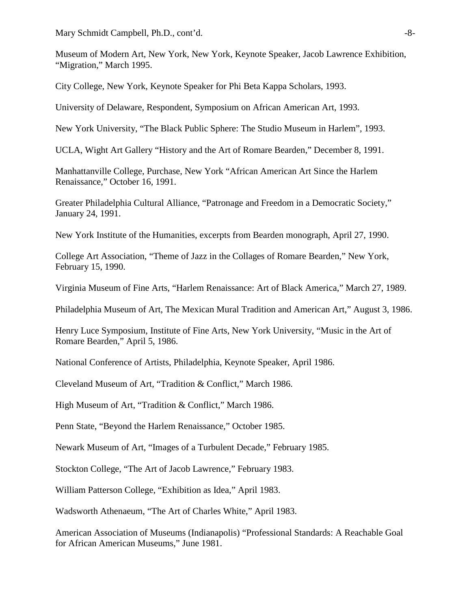Mary Schmidt Campbell, Ph.D., cont'd.  $-8$ -

Museum of Modern Art, New York, New York, Keynote Speaker, Jacob Lawrence Exhibition, "Migration," March 1995.

City College, New York, Keynote Speaker for Phi Beta Kappa Scholars, 1993.

University of Delaware, Respondent, Symposium on African American Art, 1993.

New York University, "The Black Public Sphere: The Studio Museum in Harlem", 1993.

UCLA, Wight Art Gallery "History and the Art of Romare Bearden," December 8, 1991.

Manhattanville College, Purchase, New York "African American Art Since the Harlem Renaissance," October 16, 1991.

Greater Philadelphia Cultural Alliance, "Patronage and Freedom in a Democratic Society," January 24, 1991.

New York Institute of the Humanities, excerpts from Bearden monograph, April 27, 1990.

College Art Association, "Theme of Jazz in the Collages of Romare Bearden," New York, February 15, 1990.

Virginia Museum of Fine Arts, "Harlem Renaissance: Art of Black America," March 27, 1989.

Philadelphia Museum of Art, The Mexican Mural Tradition and American Art," August 3, 1986.

Henry Luce Symposium, Institute of Fine Arts, New York University, "Music in the Art of Romare Bearden," April 5, 1986.

National Conference of Artists, Philadelphia, Keynote Speaker, April 1986.

Cleveland Museum of Art, "Tradition & Conflict," March 1986.

High Museum of Art, "Tradition & Conflict," March 1986.

Penn State, "Beyond the Harlem Renaissance," October 1985.

Newark Museum of Art, "Images of a Turbulent Decade," February 1985.

Stockton College, "The Art of Jacob Lawrence," February 1983.

William Patterson College, "Exhibition as Idea," April 1983.

Wadsworth Athenaeum, "The Art of Charles White," April 1983.

American Association of Museums (Indianapolis) "Professional Standards: A Reachable Goal for African American Museums," June 1981.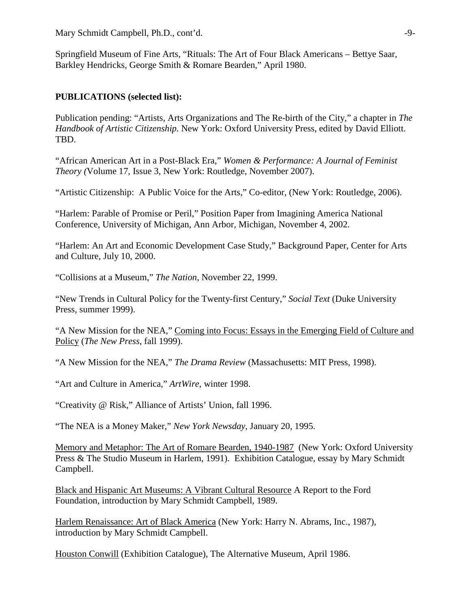Mary Schmidt Campbell, Ph.D., cont'd.  $-9-$ 

Springfield Museum of Fine Arts, "Rituals: The Art of Four Black Americans – Bettye Saar, Barkley Hendricks, George Smith & Romare Bearden," April 1980.

## **PUBLICATIONS (selected list):**

Publication pending: "Artists, Arts Organizations and The Re-birth of the City," a chapter in *The Handbook of Artistic Citizenship.* New York: Oxford University Press, edited by David Elliott. TBD.

"African American Art in a Post-Black Era," *Women & Performance: A Journal of Feminist Theory (*Volume 17, Issue 3, New York: Routledge, November 2007).

"Artistic Citizenship: A Public Voice for the Arts," Co-editor, (New York: Routledge, 2006).

"Harlem: Parable of Promise or Peril," Position Paper from Imagining America National Conference, University of Michigan, Ann Arbor, Michigan, November 4, 2002.

"Harlem: An Art and Economic Development Case Study," Background Paper, Center for Arts and Culture, July 10, 2000.

"Collisions at a Museum," *The Nation*, November 22, 1999.

"New Trends in Cultural Policy for the Twenty-first Century," *Social Text* (Duke University Press, summer 1999).

"A New Mission for the NEA," Coming into Focus: Essays in the Emerging Field of Culture and Policy (*The New Press*, fall 1999).

"A New Mission for the NEA," *The Drama Review* (Massachusetts: MIT Press, 1998).

"Art and Culture in America," *ArtWire*, winter 1998.

"Creativity @ Risk," Alliance of Artists' Union, fall 1996.

"The NEA is a Money Maker," *New York Newsday*, January 20, 1995.

Memory and Metaphor: The Art of Romare Bearden, 1940-1987 (New York: Oxford University Press & The Studio Museum in Harlem, 1991). Exhibition Catalogue, essay by Mary Schmidt Campbell.

Black and Hispanic Art Museums: A Vibrant Cultural Resource A Report to the Ford Foundation, introduction by Mary Schmidt Campbell, 1989.

Harlem Renaissance: Art of Black America (New York: Harry N. Abrams, Inc., 1987), introduction by Mary Schmidt Campbell.

Houston Conwill (Exhibition Catalogue), The Alternative Museum, April 1986.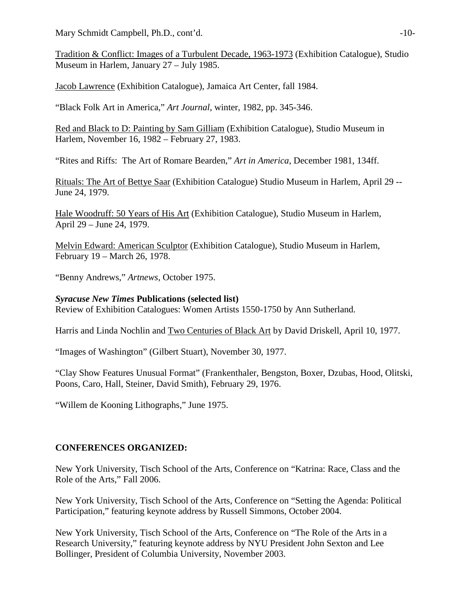Mary Schmidt Campbell, Ph.D., cont'd.  $-10$ -

Tradition & Conflict: Images of a Turbulent Decade, 1963-1973 (Exhibition Catalogue), Studio Museum in Harlem, January 27 – July 1985.

Jacob Lawrence (Exhibition Catalogue), Jamaica Art Center, fall 1984.

"Black Folk Art in America," *Art Journal*, winter, 1982, pp. 345-346.

Red and Black to D: Painting by Sam Gilliam (Exhibition Catalogue), Studio Museum in Harlem, November 16, 1982 – February 27, 1983.

"Rites and Riffs: The Art of Romare Bearden," *Art in America*, December 1981, 134ff.

Rituals: The Art of Bettye Saar (Exhibition Catalogue) Studio Museum in Harlem, April 29 -- June 24, 1979.

Hale Woodruff: 50 Years of His Art (Exhibition Catalogue), Studio Museum in Harlem, April 29 – June 24, 1979.

Melvin Edward: American Sculptor (Exhibition Catalogue), Studio Museum in Harlem, February 19 – March 26, 1978.

"Benny Andrews," *Artnews*, October 1975.

*Syracuse New Times* **Publications (selected list)**

Review of Exhibition Catalogues: Women Artists 1550-1750 by Ann Sutherland.

Harris and Linda Nochlin and Two Centuries of Black Art by David Driskell, April 10, 1977.

"Images of Washington" (Gilbert Stuart), November 30, 1977.

"Clay Show Features Unusual Format" (Frankenthaler, Bengston, Boxer, Dzubas, Hood, Olitski, Poons, Caro, Hall, Steiner, David Smith), February 29, 1976.

"Willem de Kooning Lithographs," June 1975.

## **CONFERENCES ORGANIZED:**

New York University, Tisch School of the Arts, Conference on "Katrina: Race, Class and the Role of the Arts," Fall 2006.

New York University, Tisch School of the Arts, Conference on "Setting the Agenda: Political Participation," featuring keynote address by Russell Simmons, October 2004.

New York University, Tisch School of the Arts, Conference on "The Role of the Arts in a Research University," featuring keynote address by NYU President John Sexton and Lee Bollinger, President of Columbia University, November 2003.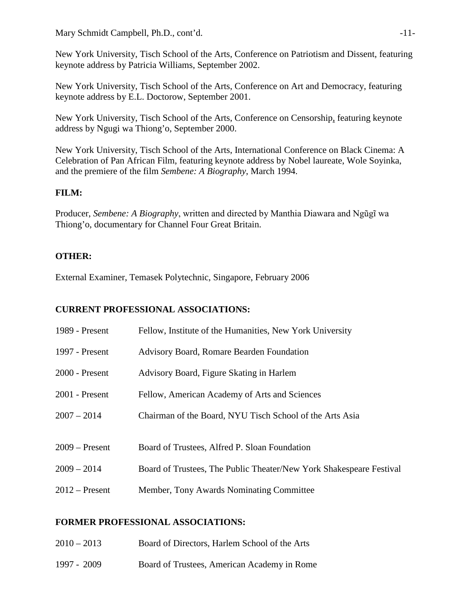New York University, Tisch School of the Arts, Conference on Patriotism and Dissent, featuring keynote address by Patricia Williams, September 2002.

New York University, Tisch School of the Arts, Conference on Art and Democracy, featuring keynote address by E.L. Doctorow, September 2001.

New York University, Tisch School of the Arts, Conference on Censorship, featuring keynote address by Ngugi wa Thiong'o, September 2000.

New York University, Tisch School of the Arts, International Conference on Black Cinema: A Celebration of Pan African Film, featuring keynote address by Nobel laureate, Wole Soyinka, and the premiere of the film *Sembene: A Biography*, March 1994.

# **FILM:**

Producer, *Sembene: A Biography*, written and directed by Manthia Diawara and Ngũgĩ wa Thiong'o, documentary for Channel Four Great Britain.

# **OTHER:**

External Examiner, Temasek Polytechnic, Singapore, February 2006

# **CURRENT PROFESSIONAL ASSOCIATIONS:**

| 1989 - Present   | Fellow, Institute of the Humanities, New York University            |
|------------------|---------------------------------------------------------------------|
| 1997 - Present   | <b>Advisory Board, Romare Bearden Foundation</b>                    |
| $2000$ - Present | Advisory Board, Figure Skating in Harlem                            |
| $2001$ - Present | Fellow, American Academy of Arts and Sciences                       |
| $2007 - 2014$    | Chairman of the Board, NYU Tisch School of the Arts Asia            |
|                  |                                                                     |
| $2009$ – Present | Board of Trustees, Alfred P. Sloan Foundation                       |
| $2009 - 2014$    | Board of Trustees, The Public Theater/New York Shakespeare Festival |
| $2012$ – Present | Member, Tony Awards Nominating Committee                            |

# **FORMER PROFESSIONAL ASSOCIATIONS:**

| $2010 - 2013$ | Board of Directors, Harlem School of the Arts |
|---------------|-----------------------------------------------|
|               |                                               |

1997 - 2009 Board of Trustees, American Academy in Rome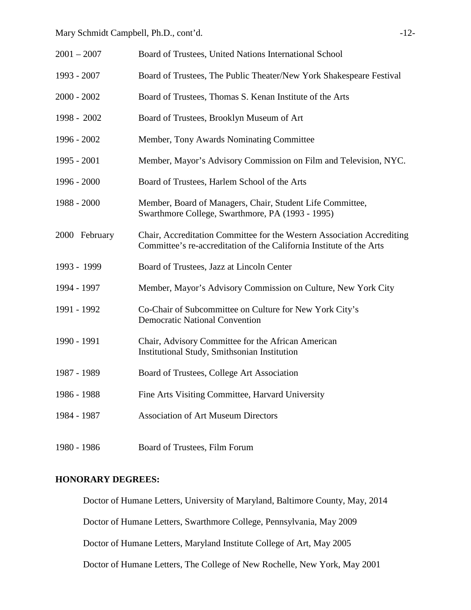| $2001 - 2007$ | Board of Trustees, United Nations International School                                                                                         |
|---------------|------------------------------------------------------------------------------------------------------------------------------------------------|
| 1993 - 2007   | Board of Trustees, The Public Theater/New York Shakespeare Festival                                                                            |
| $2000 - 2002$ | Board of Trustees, Thomas S. Kenan Institute of the Arts                                                                                       |
| 1998 - 2002   | Board of Trustees, Brooklyn Museum of Art                                                                                                      |
| 1996 - 2002   | Member, Tony Awards Nominating Committee                                                                                                       |
| 1995 - 2001   | Member, Mayor's Advisory Commission on Film and Television, NYC.                                                                               |
| 1996 - 2000   | Board of Trustees, Harlem School of the Arts                                                                                                   |
| 1988 - 2000   | Member, Board of Managers, Chair, Student Life Committee,<br>Swarthmore College, Swarthmore, PA (1993 - 1995)                                  |
| 2000 February | Chair, Accreditation Committee for the Western Association Accrediting<br>Committee's re-accreditation of the California Institute of the Arts |
| 1993 - 1999   | Board of Trustees, Jazz at Lincoln Center                                                                                                      |
| 1994 - 1997   | Member, Mayor's Advisory Commission on Culture, New York City                                                                                  |
| 1991 - 1992   | Co-Chair of Subcommittee on Culture for New York City's<br><b>Democratic National Convention</b>                                               |
| 1990 - 1991   | Chair, Advisory Committee for the African American<br>Institutional Study, Smithsonian Institution                                             |
| 1987 - 1989   | Board of Trustees, College Art Association                                                                                                     |
| 1986 - 1988   | Fine Arts Visiting Committee, Harvard University                                                                                               |
| 1984 - 1987   | <b>Association of Art Museum Directors</b>                                                                                                     |
| 1980 - 1986   | Board of Trustees, Film Forum                                                                                                                  |

#### **HONORARY DEGREES:**

Doctor of Humane Letters, University of Maryland, Baltimore County, May, 2014

Doctor of Humane Letters, Swarthmore College, Pennsylvania, May 2009

Doctor of Humane Letters, Maryland Institute College of Art, May 2005

Doctor of Humane Letters, The College of New Rochelle, New York, May 2001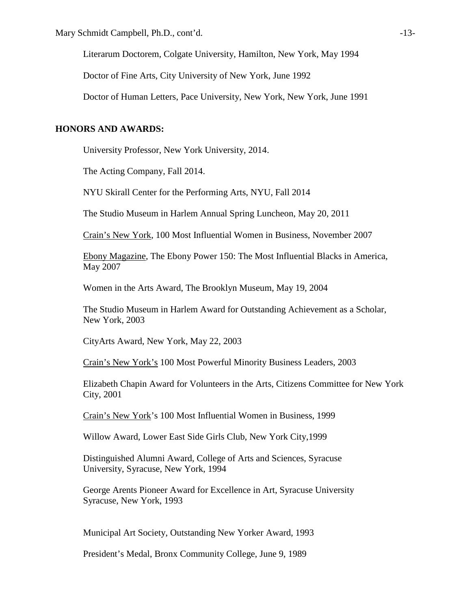Literarum Doctorem, Colgate University, Hamilton, New York, May 1994

Doctor of Fine Arts, City University of New York, June 1992

Doctor of Human Letters, Pace University, New York, New York, June 1991

#### **HONORS AND AWARDS:**

University Professor, New York University, 2014.

The Acting Company, Fall 2014.

NYU Skirall Center for the Performing Arts, NYU, Fall 2014

The Studio Museum in Harlem Annual Spring Luncheon, May 20, 2011

Crain's New York, 100 Most Influential Women in Business, November 2007

Ebony Magazine, The Ebony Power 150: The Most Influential Blacks in America, May 2007

Women in the Arts Award, The Brooklyn Museum, May 19, 2004

The Studio Museum in Harlem Award for Outstanding Achievement as a Scholar, New York, 2003

CityArts Award, New York, May 22, 2003

Crain's New York's 100 Most Powerful Minority Business Leaders, 2003

Elizabeth Chapin Award for Volunteers in the Arts, Citizens Committee for New York City, 2001

Crain's New York's 100 Most Influential Women in Business, 1999

Willow Award, Lower East Side Girls Club, New York City,1999

Distinguished Alumni Award, College of Arts and Sciences, Syracuse University, Syracuse, New York, 1994

George Arents Pioneer Award for Excellence in Art, Syracuse University Syracuse, New York, 1993

Municipal Art Society, Outstanding New Yorker Award, 1993

President's Medal, Bronx Community College, June 9, 1989